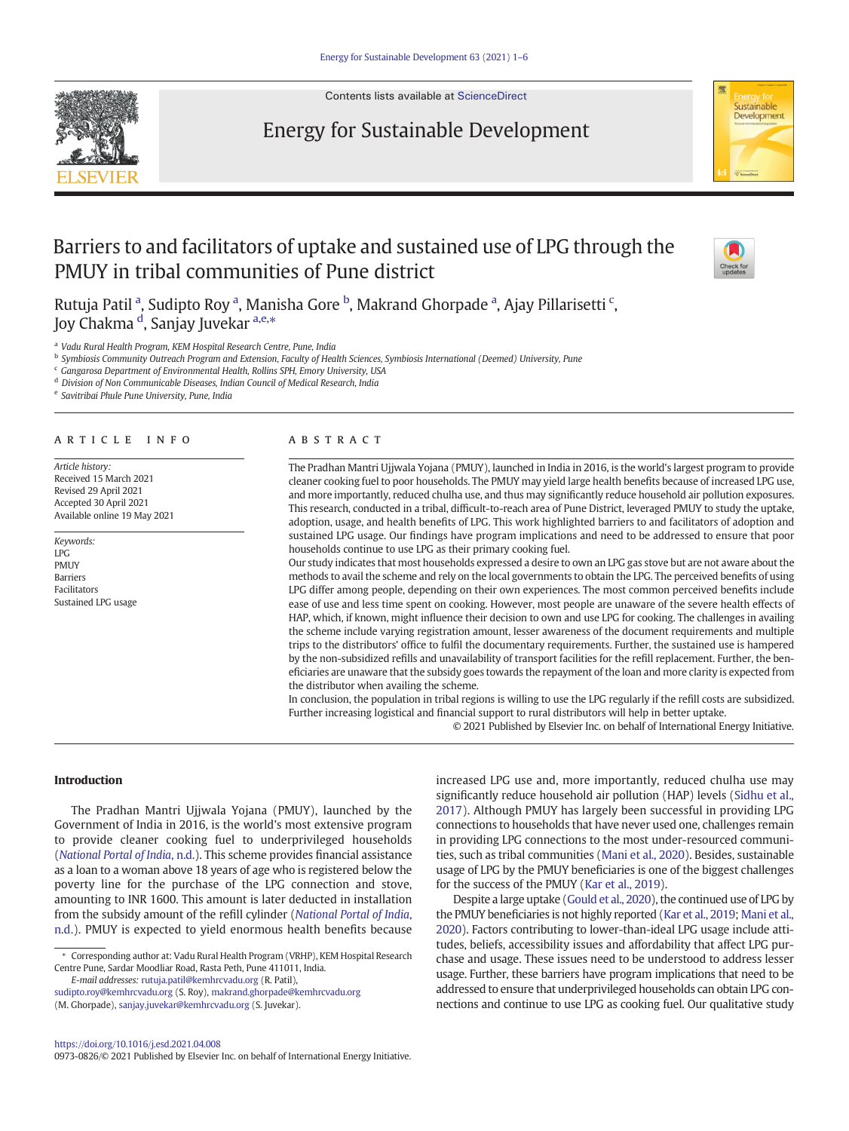

Contents lists available at [ScienceDirect](http://www.sciencedirect.com/science/journal/)

# Energy for Sustainable Development



# Barriers to and facilitators of uptake and sustained use of LPG through the PMUY in tribal communities of Pune district



Rutuja Patil <sup>a</sup>, Sudipto Roy <sup>a</sup>, Manisha Gore <sup>b</sup>, Makrand Ghorpade <sup>a</sup>, Ajay Pillarisetti <sup>c</sup>, Joy Chakma <sup>d</sup>, Sanjay Juvekar <sup>a,e,</sup>\*

<sup>a</sup> Vadu Rural Health Program, KEM Hospital Research Centre, Pune, India

**b Symbiosis Community Outreach Program and Extension, Faculty of Health Sciences, Symbiosis International (Deemed) University, Pune** 

<sup>c</sup> Gangarosa Department of Environmental Health, Rollins SPH, Emory University, USA

<sup>d</sup> Division of Non Communicable Diseases, Indian Council of Medical Research, India

<sup>e</sup> Savitribai Phule Pune University, Pune, India

# article info abstract

Article history: Received 15 March 2021 Revised 29 April 2021 Accepted 30 April 2021 Available online 19 May 2021

Keywords: LPG PMUY Barriers Facilitators Sustained LPG usage

The Pradhan Mantri Ujjwala Yojana (PMUY), launched in India in 2016, is the world's largest program to provide cleaner cooking fuel to poor households. The PMUY may yield large health benefits because of increased LPG use, and more importantly, reduced chulha use, and thus may significantly reduce household air pollution exposures. This research, conducted in a tribal, difficult-to-reach area of Pune District, leveraged PMUY to study the uptake, adoption, usage, and health benefits of LPG. This work highlighted barriers to and facilitators of adoption and sustained LPG usage. Our findings have program implications and need to be addressed to ensure that poor households continue to use LPG as their primary cooking fuel.

Our study indicates that most households expressed a desire to own an LPG gas stove but are not aware about the methods to avail the scheme and rely on the local governments to obtain the LPG. The perceived benefits of using LPG differ among people, depending on their own experiences. The most common perceived benefits include ease of use and less time spent on cooking. However, most people are unaware of the severe health effects of HAP, which, if known, might influence their decision to own and use LPG for cooking. The challenges in availing the scheme include varying registration amount, lesser awareness of the document requirements and multiple trips to the distributors' office to fulfil the documentary requirements. Further, the sustained use is hampered by the non-subsidized refills and unavailability of transport facilities for the refill replacement. Further, the beneficiaries are unaware that the subsidy goes towards the repayment of the loan and more clarity is expected from the distributor when availing the scheme.

In conclusion, the population in tribal regions is willing to use the LPG regularly if the refill costs are subsidized. Further increasing logistical and financial support to rural distributors will help in better uptake.

© 2021 Published by Elsevier Inc. on behalf of International Energy Initiative.

#### Introduction

The Pradhan Mantri Ujjwala Yojana (PMUY), launched by the Government of India in 2016, is the world's most extensive program to provide cleaner cooking fuel to underprivileged households ([National Portal of India](#page-5-0), n.d.). This scheme provides financial assistance as a loan to a woman above 18 years of age who is registered below the poverty line for the purchase of the LPG connection and stove, amounting to INR 1600. This amount is later deducted in installation from the subsidy amount of the refill cylinder ([National Portal of India](#page-5-0), [n.d.\)](#page-5-0). PMUY is expected to yield enormous health benefits because

E-mail addresses: [rutuja.patil@kemhrcvadu.org](mailto:rutuja.patil@kemhrcvadu.org) (R. Patil),

[sudipto.roy@kemhrcvadu.org](mailto:sudipto.roy@kemhrcvadu.org) (S. Roy), [makrand.ghorpade@kemhrcvadu.org](mailto:makrand.ghorpade@kemhrcvadu.org) (M. Ghorpade), [sanjay.juvekar@kemhrcvadu.org](mailto:sanjay.juvekar@kemhrcvadu.org) (S. Juvekar).

0973-0826/© 2021 Published by Elsevier Inc. on behalf of International Energy Initiative.

increased LPG use and, more importantly, reduced chulha use may significantly reduce household air pollution (HAP) levels [\(Sidhu et al.,](#page-5-0) [2017\)](#page-5-0). Although PMUY has largely been successful in providing LPG connections to households that have never used one, challenges remain in providing LPG connections to the most under-resourced communities, such as tribal communities [\(Mani et al., 2020](#page-5-0)). Besides, sustainable usage of LPG by the PMUY beneficiaries is one of the biggest challenges for the success of the PMUY [\(Kar et al., 2019](#page-5-0)).

Despite a large uptake [\(Gould et al., 2020\)](#page-5-0), the continued use of LPG by the PMUY beneficiaries is not highly reported [\(Kar et al., 2019;](#page-5-0) [Mani et al.,](#page-5-0) [2020\)](#page-5-0). Factors contributing to lower-than-ideal LPG usage include attitudes, beliefs, accessibility issues and affordability that affect LPG purchase and usage. These issues need to be understood to address lesser usage. Further, these barriers have program implications that need to be addressed to ensure that underprivileged households can obtain LPG connections and continue to use LPG as cooking fuel. Our qualitative study

<sup>⁎</sup> Corresponding author at: Vadu Rural Health Program (VRHP), KEM Hospital Research Centre Pune, Sardar Moodliar Road, Rasta Peth, Pune 411011, India.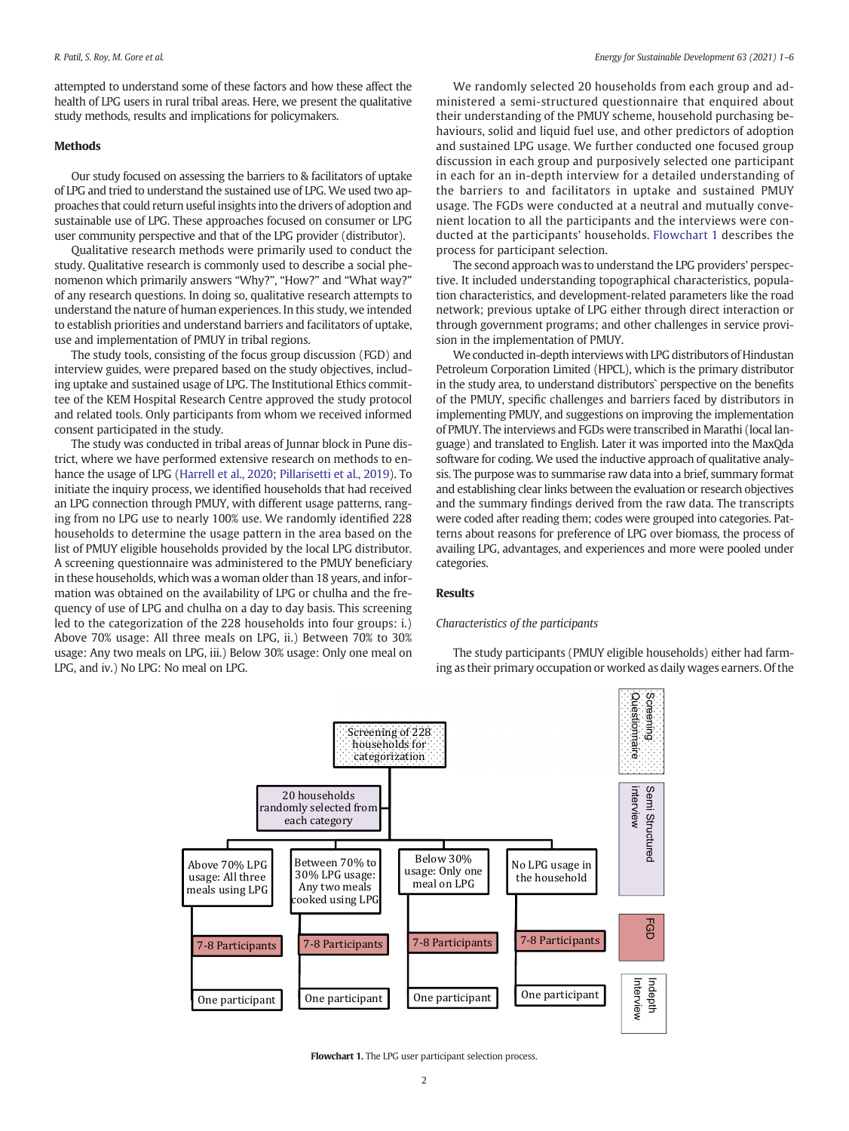attempted to understand some of these factors and how these affect the health of LPG users in rural tribal areas. Here, we present the qualitative study methods, results and implications for policymakers.

# Methods

Our study focused on assessing the barriers to & facilitators of uptake of LPG and tried to understand the sustained use of LPG. We used two approaches that could return useful insights into the drivers of adoption and sustainable use of LPG. These approaches focused on consumer or LPG user community perspective and that of the LPG provider (distributor).

Qualitative research methods were primarily used to conduct the study. Qualitative research is commonly used to describe a social phenomenon which primarily answers "Why?", "How?" and "What way?" of any research questions. In doing so, qualitative research attempts to understand the nature of human experiences. In this study, we intended to establish priorities and understand barriers and facilitators of uptake, use and implementation of PMUY in tribal regions.

The study tools, consisting of the focus group discussion (FGD) and interview guides, were prepared based on the study objectives, including uptake and sustained usage of LPG. The Institutional Ethics committee of the KEM Hospital Research Centre approved the study protocol and related tools. Only participants from whom we received informed consent participated in the study.

The study was conducted in tribal areas of Junnar block in Pune district, where we have performed extensive research on methods to enhance the usage of LPG [\(Harrell et al., 2020;](#page-5-0) [Pillarisetti et al., 2019](#page-5-0)). To initiate the inquiry process, we identified households that had received an LPG connection through PMUY, with different usage patterns, ranging from no LPG use to nearly 100% use. We randomly identified 228 households to determine the usage pattern in the area based on the list of PMUY eligible households provided by the local LPG distributor. A screening questionnaire was administered to the PMUY beneficiary in these households, which was a woman older than 18 years, and information was obtained on the availability of LPG or chulha and the frequency of use of LPG and chulha on a day to day basis. This screening led to the categorization of the 228 households into four groups: i.) Above 70% usage: All three meals on LPG, ii.) Between 70% to 30% usage: Any two meals on LPG, iii.) Below 30% usage: Only one meal on LPG, and iv.) No LPG: No meal on LPG.

We randomly selected 20 households from each group and administered a semi-structured questionnaire that enquired about their understanding of the PMUY scheme, household purchasing behaviours, solid and liquid fuel use, and other predictors of adoption and sustained LPG usage. We further conducted one focused group discussion in each group and purposively selected one participant in each for an in-depth interview for a detailed understanding of the barriers to and facilitators in uptake and sustained PMUY usage. The FGDs were conducted at a neutral and mutually convenient location to all the participants and the interviews were conducted at the participants' households. Flowchart 1 describes the process for participant selection.

The second approach was to understand the LPG providers' perspective. It included understanding topographical characteristics, population characteristics, and development-related parameters like the road network; previous uptake of LPG either through direct interaction or through government programs; and other challenges in service provision in the implementation of PMUY.

We conducted in-depth interviews with LPG distributors of Hindustan Petroleum Corporation Limited (HPCL), which is the primary distributor in the study area, to understand distributors` perspective on the benefits of the PMUY, specific challenges and barriers faced by distributors in implementing PMUY, and suggestions on improving the implementation of PMUY. The interviews and FGDs were transcribed in Marathi (local language) and translated to English. Later it was imported into the MaxQda software for coding. We used the inductive approach of qualitative analysis. The purpose was to summarise raw data into a brief, summary format and establishing clear links between the evaluation or research objectives and the summary findings derived from the raw data. The transcripts were coded after reading them; codes were grouped into categories. Patterns about reasons for preference of LPG over biomass, the process of availing LPG, advantages, and experiences and more were pooled under categories.

#### Results

# Characteristics of the participants

The study participants (PMUY eligible households) either had farming as their primary occupation or worked as daily wages earners. Of the



Flowchart 1. The LPG user participant selection process.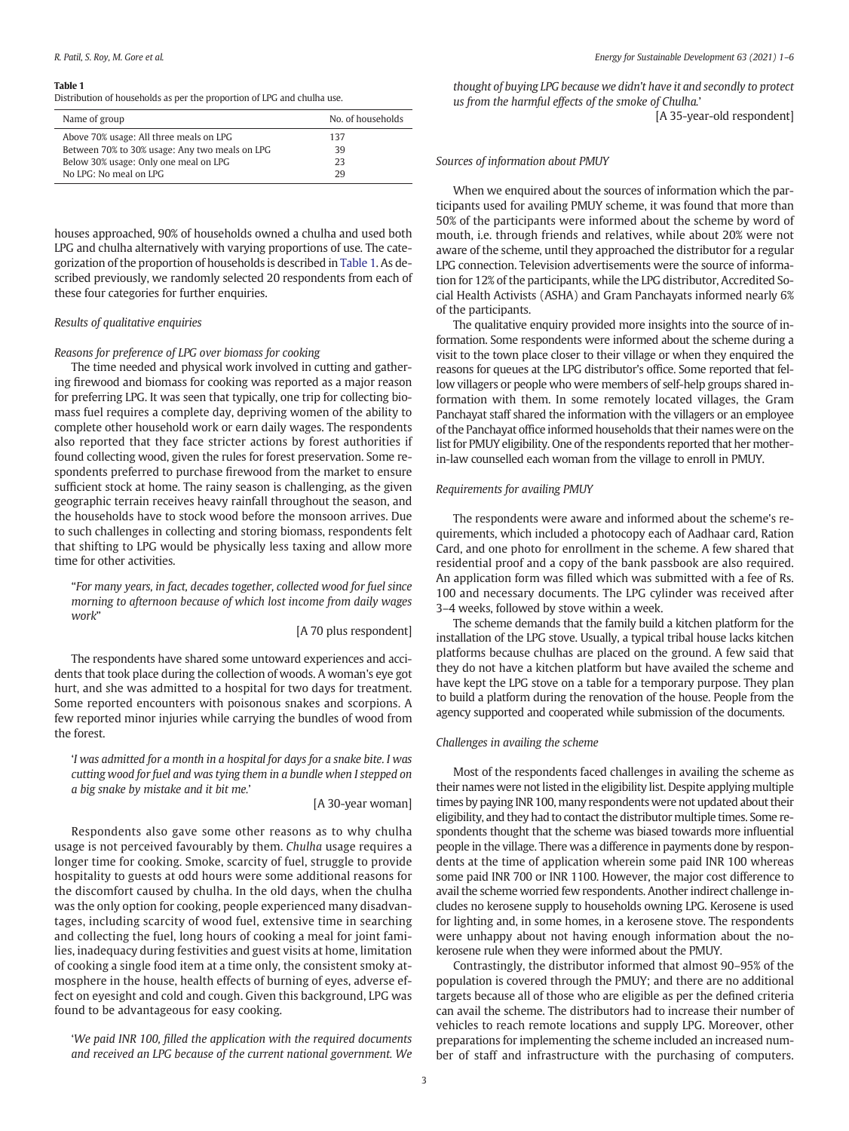#### Table 1

Distribution of households as per the proportion of LPG and chulha use.

| Name of group                                  | No. of households |
|------------------------------------------------|-------------------|
| Above 70% usage: All three meals on LPG        | 137               |
| Between 70% to 30% usage: Any two meals on LPG | 39                |
| Below 30% usage: Only one meal on LPG          | 23                |
| No LPG: No meal on LPG                         | 29                |

houses approached, 90% of households owned a chulha and used both LPG and chulha alternatively with varying proportions of use. The categorization of the proportion of households is described in Table 1. As described previously, we randomly selected 20 respondents from each of these four categories for further enquiries.

# Results of qualitative enquiries

## Reasons for preference of LPG over biomass for cooking

The time needed and physical work involved in cutting and gathering firewood and biomass for cooking was reported as a major reason for preferring LPG. It was seen that typically, one trip for collecting biomass fuel requires a complete day, depriving women of the ability to complete other household work or earn daily wages. The respondents also reported that they face stricter actions by forest authorities if found collecting wood, given the rules for forest preservation. Some respondents preferred to purchase firewood from the market to ensure sufficient stock at home. The rainy season is challenging, as the given geographic terrain receives heavy rainfall throughout the season, and the households have to stock wood before the monsoon arrives. Due to such challenges in collecting and storing biomass, respondents felt that shifting to LPG would be physically less taxing and allow more time for other activities.

"For many years, in fact, decades together, collected wood for fuel since morning to afternoon because of which lost income from daily wages work"

[A 70 plus respondent]

The respondents have shared some untoward experiences and accidents that took place during the collection of woods. A woman's eye got hurt, and she was admitted to a hospital for two days for treatment. Some reported encounters with poisonous snakes and scorpions. A few reported minor injuries while carrying the bundles of wood from the forest.

'I was admitted for a month in a hospital for days for a snake bite. I was cutting wood for fuel and was tying them in a bundle when I stepped on a big snake by mistake and it bit me.'

## [A 30-year woman]

Respondents also gave some other reasons as to why chulha usage is not perceived favourably by them. Chulha usage requires a longer time for cooking. Smoke, scarcity of fuel, struggle to provide hospitality to guests at odd hours were some additional reasons for the discomfort caused by chulha. In the old days, when the chulha was the only option for cooking, people experienced many disadvantages, including scarcity of wood fuel, extensive time in searching and collecting the fuel, long hours of cooking a meal for joint families, inadequacy during festivities and guest visits at home, limitation of cooking a single food item at a time only, the consistent smoky atmosphere in the house, health effects of burning of eyes, adverse effect on eyesight and cold and cough. Given this background, LPG was found to be advantageous for easy cooking.

'We paid INR 100, filled the application with the required documents and received an LPG because of the current national government. We thought of buying LPG because we didn't have it and secondly to protect us from the harmful effects of the smoke of Chulha.'

[A 35-year-old respondent]

## Sources of information about PMUY

When we enquired about the sources of information which the participants used for availing PMUY scheme, it was found that more than 50% of the participants were informed about the scheme by word of mouth, i.e. through friends and relatives, while about 20% were not aware of the scheme, until they approached the distributor for a regular LPG connection. Television advertisements were the source of information for 12% of the participants, while the LPG distributor, Accredited Social Health Activists (ASHA) and Gram Panchayats informed nearly 6% of the participants.

The qualitative enquiry provided more insights into the source of information. Some respondents were informed about the scheme during a visit to the town place closer to their village or when they enquired the reasons for queues at the LPG distributor's office. Some reported that fellow villagers or people who were members of self-help groups shared information with them. In some remotely located villages, the Gram Panchayat staff shared the information with the villagers or an employee of the Panchayat office informed households that their names were on the list for PMUY eligibility. One of the respondents reported that her motherin-law counselled each woman from the village to enroll in PMUY.

### Requirements for availing PMUY

The respondents were aware and informed about the scheme's requirements, which included a photocopy each of Aadhaar card, Ration Card, and one photo for enrollment in the scheme. A few shared that residential proof and a copy of the bank passbook are also required. An application form was filled which was submitted with a fee of Rs. 100 and necessary documents. The LPG cylinder was received after 3–4 weeks, followed by stove within a week.

The scheme demands that the family build a kitchen platform for the installation of the LPG stove. Usually, a typical tribal house lacks kitchen platforms because chulhas are placed on the ground. A few said that they do not have a kitchen platform but have availed the scheme and have kept the LPG stove on a table for a temporary purpose. They plan to build a platform during the renovation of the house. People from the agency supported and cooperated while submission of the documents.

# Challenges in availing the scheme

Most of the respondents faced challenges in availing the scheme as their names were not listed in the eligibility list. Despite applying multiple times by paying INR 100, many respondents were not updated about their eligibility, and they had to contact the distributor multiple times. Some respondents thought that the scheme was biased towards more influential people in the village. There was a difference in payments done by respondents at the time of application wherein some paid INR 100 whereas some paid INR 700 or INR 1100. However, the major cost difference to avail the scheme worried few respondents. Another indirect challenge includes no kerosene supply to households owning LPG. Kerosene is used for lighting and, in some homes, in a kerosene stove. The respondents were unhappy about not having enough information about the nokerosene rule when they were informed about the PMUY.

Contrastingly, the distributor informed that almost 90–95% of the population is covered through the PMUY; and there are no additional targets because all of those who are eligible as per the defined criteria can avail the scheme. The distributors had to increase their number of vehicles to reach remote locations and supply LPG. Moreover, other preparations for implementing the scheme included an increased number of staff and infrastructure with the purchasing of computers.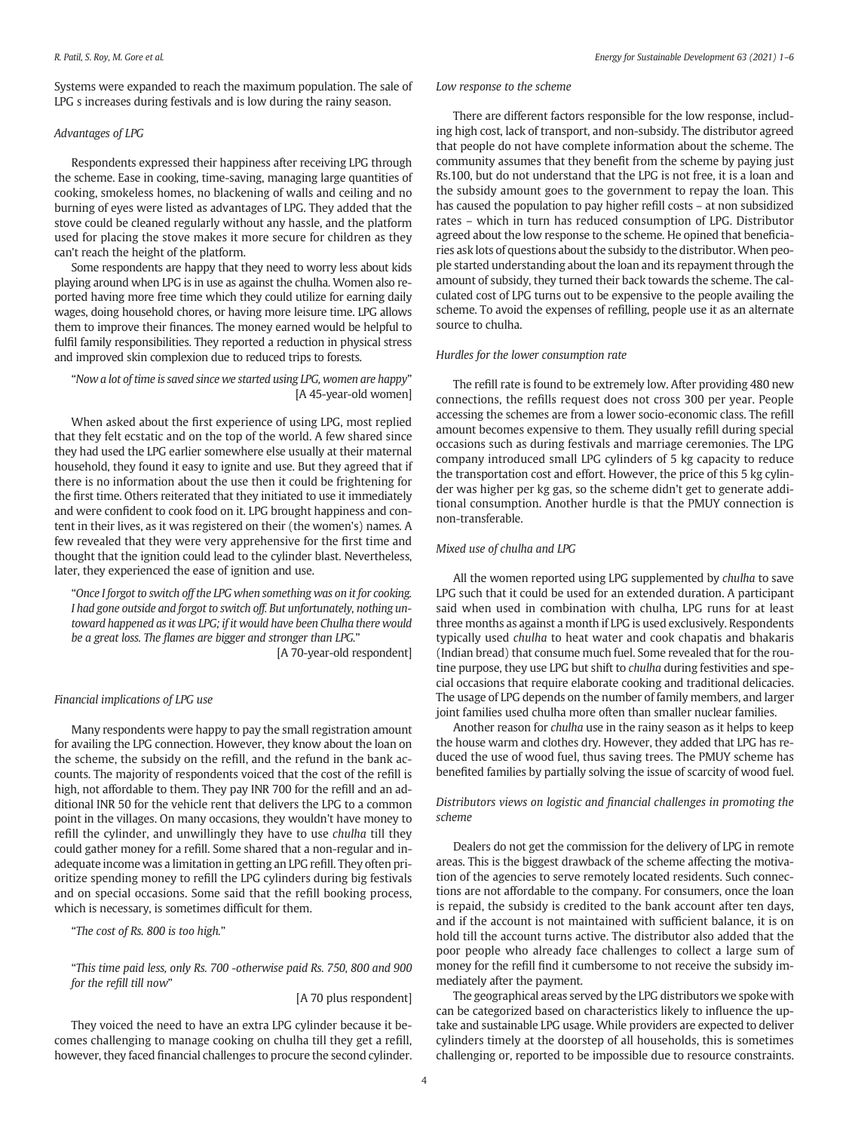Systems were expanded to reach the maximum population. The sale of LPG s increases during festivals and is low during the rainy season.

# Advantages of LPG

Respondents expressed their happiness after receiving LPG through the scheme. Ease in cooking, time-saving, managing large quantities of cooking, smokeless homes, no blackening of walls and ceiling and no burning of eyes were listed as advantages of LPG. They added that the stove could be cleaned regularly without any hassle, and the platform used for placing the stove makes it more secure for children as they can't reach the height of the platform.

Some respondents are happy that they need to worry less about kids playing around when LPG is in use as against the chulha. Women also reported having more free time which they could utilize for earning daily wages, doing household chores, or having more leisure time. LPG allows them to improve their finances. The money earned would be helpful to fulfil family responsibilities. They reported a reduction in physical stress and improved skin complexion due to reduced trips to forests.

# "Now a lot of time is saved since we started using LPG, women are happy" [A 45-year-old women]

When asked about the first experience of using LPG, most replied that they felt ecstatic and on the top of the world. A few shared since they had used the LPG earlier somewhere else usually at their maternal household, they found it easy to ignite and use. But they agreed that if there is no information about the use then it could be frightening for the first time. Others reiterated that they initiated to use it immediately and were confident to cook food on it. LPG brought happiness and content in their lives, as it was registered on their (the women's) names. A few revealed that they were very apprehensive for the first time and thought that the ignition could lead to the cylinder blast. Nevertheless, later, they experienced the ease of ignition and use.

"Once I forgot to switch off the LPG when something was on it for cooking. I had gone outside and forgot to switch off. But unfortunately, nothing untoward happened as it was LPG; if it would have been Chulha there would be a great loss. The flames are bigger and stronger than LPG."

[A 70-year-old respondent]

# Financial implications of LPG use

Many respondents were happy to pay the small registration amount for availing the LPG connection. However, they know about the loan on the scheme, the subsidy on the refill, and the refund in the bank accounts. The majority of respondents voiced that the cost of the refill is high, not affordable to them. They pay INR 700 for the refill and an additional INR 50 for the vehicle rent that delivers the LPG to a common point in the villages. On many occasions, they wouldn't have money to refill the cylinder, and unwillingly they have to use chulha till they could gather money for a refill. Some shared that a non-regular and inadequate income was a limitation in getting an LPG refill. They often prioritize spending money to refill the LPG cylinders during big festivals and on special occasions. Some said that the refill booking process, which is necessary, is sometimes difficult for them.

"The cost of Rs. 800 is too high."

"This time paid less, only Rs. 700 -otherwise paid Rs. 750, 800 and 900 for the refill till now"

[A 70 plus respondent]

They voiced the need to have an extra LPG cylinder because it becomes challenging to manage cooking on chulha till they get a refill, however, they faced financial challenges to procure the second cylinder.

# Low response to the scheme

There are different factors responsible for the low response, including high cost, lack of transport, and non-subsidy. The distributor agreed that people do not have complete information about the scheme. The community assumes that they benefit from the scheme by paying just Rs.100, but do not understand that the LPG is not free, it is a loan and the subsidy amount goes to the government to repay the loan. This has caused the population to pay higher refill costs – at non subsidized rates – which in turn has reduced consumption of LPG. Distributor agreed about the low response to the scheme. He opined that beneficiaries ask lots of questions about the subsidy to the distributor. When people started understanding about the loan and its repayment through the amount of subsidy, they turned their back towards the scheme. The calculated cost of LPG turns out to be expensive to the people availing the scheme. To avoid the expenses of refilling, people use it as an alternate source to chulha.

#### Hurdles for the lower consumption rate

The refill rate is found to be extremely low. After providing 480 new connections, the refills request does not cross 300 per year. People accessing the schemes are from a lower socio-economic class. The refill amount becomes expensive to them. They usually refill during special occasions such as during festivals and marriage ceremonies. The LPG company introduced small LPG cylinders of 5 kg capacity to reduce the transportation cost and effort. However, the price of this 5 kg cylinder was higher per kg gas, so the scheme didn't get to generate additional consumption. Another hurdle is that the PMUY connection is non-transferable.

## Mixed use of chulha and LPG

All the women reported using LPG supplemented by chulha to save LPG such that it could be used for an extended duration. A participant said when used in combination with chulha, LPG runs for at least three months as against a month if LPG is used exclusively. Respondents typically used chulha to heat water and cook chapatis and bhakaris (Indian bread) that consume much fuel. Some revealed that for the routine purpose, they use LPG but shift to chulha during festivities and special occasions that require elaborate cooking and traditional delicacies. The usage of LPG depends on the number of family members, and larger joint families used chulha more often than smaller nuclear families.

Another reason for chulha use in the rainy season as it helps to keep the house warm and clothes dry. However, they added that LPG has reduced the use of wood fuel, thus saving trees. The PMUY scheme has benefited families by partially solving the issue of scarcity of wood fuel.

# Distributors views on logistic and financial challenges in promoting the scheme

Dealers do not get the commission for the delivery of LPG in remote areas. This is the biggest drawback of the scheme affecting the motivation of the agencies to serve remotely located residents. Such connections are not affordable to the company. For consumers, once the loan is repaid, the subsidy is credited to the bank account after ten days, and if the account is not maintained with sufficient balance, it is on hold till the account turns active. The distributor also added that the poor people who already face challenges to collect a large sum of money for the refill find it cumbersome to not receive the subsidy immediately after the payment.

The geographical areas served by the LPG distributors we spoke with can be categorized based on characteristics likely to influence the uptake and sustainable LPG usage. While providers are expected to deliver cylinders timely at the doorstep of all households, this is sometimes challenging or, reported to be impossible due to resource constraints.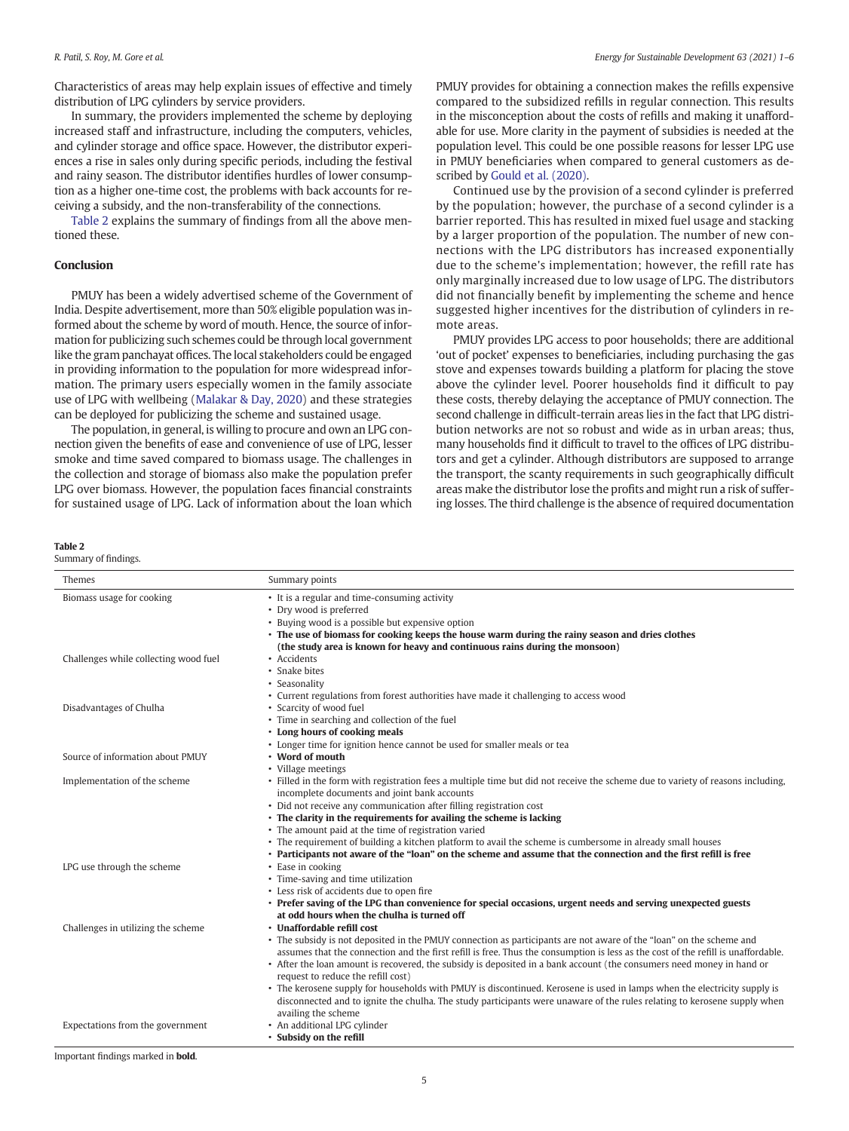Characteristics of areas may help explain issues of effective and timely distribution of LPG cylinders by service providers.

In summary, the providers implemented the scheme by deploying increased staff and infrastructure, including the computers, vehicles, and cylinder storage and office space. However, the distributor experiences a rise in sales only during specific periods, including the festival and rainy season. The distributor identifies hurdles of lower consumption as a higher one-time cost, the problems with back accounts for receiving a subsidy, and the non-transferability of the connections.

Table 2 explains the summary of findings from all the above mentioned these.

# Conclusion

PMUY has been a widely advertised scheme of the Government of India. Despite advertisement, more than 50% eligible population was informed about the scheme by word of mouth. Hence, the source of information for publicizing such schemes could be through local government like the gram panchayat offices. The local stakeholders could be engaged in providing information to the population for more widespread information. The primary users especially women in the family associate use of LPG with wellbeing [\(Malakar & Day, 2020](#page-5-0)) and these strategies can be deployed for publicizing the scheme and sustained usage.

The population, in general, is willing to procure and own an LPG connection given the benefits of ease and convenience of use of LPG, lesser smoke and time saved compared to biomass usage. The challenges in the collection and storage of biomass also make the population prefer LPG over biomass. However, the population faces financial constraints for sustained usage of LPG. Lack of information about the loan which

|--|--|

Summary of findings.

| PMUY provides for obtaining a connection makes the refills expensive    |
|-------------------------------------------------------------------------|
| compared to the subsidized refills in regular connection. This results  |
| in the misconception about the costs of refills and making it unafford- |
| able for use. More clarity in the payment of subsidies is needed at the |
| population level. This could be one possible reasons for lesser LPG use |
| in PMUY beneficiaries when compared to general customers as de-         |
| scribed by Gould et al. (2020).                                         |

Continued use by the provision of a second cylinder is preferred by the population; however, the purchase of a second cylinder is a barrier reported. This has resulted in mixed fuel usage and stacking by a larger proportion of the population. The number of new connections with the LPG distributors has increased exponentially due to the scheme's implementation; however, the refill rate has only marginally increased due to low usage of LPG. The distributors did not financially benefit by implementing the scheme and hence suggested higher incentives for the distribution of cylinders in remote areas.

PMUY provides LPG access to poor households; there are additional 'out of pocket' expenses to beneficiaries, including purchasing the gas stove and expenses towards building a platform for placing the stove above the cylinder level. Poorer households find it difficult to pay these costs, thereby delaying the acceptance of PMUY connection. The second challenge in difficult-terrain areas lies in the fact that LPG distribution networks are not so robust and wide as in urban areas; thus, many households find it difficult to travel to the offices of LPG distributors and get a cylinder. Although distributors are supposed to arrange the transport, the scanty requirements in such geographically difficult areas make the distributor lose the profits and might run a risk of suffering losses. The third challenge is the absence of required documentation

| Themes                                | Summary points                                                                                                                                                                                                                                                                                                                                                                                                                                                                                                                                                                                                                                                                                                                       |
|---------------------------------------|--------------------------------------------------------------------------------------------------------------------------------------------------------------------------------------------------------------------------------------------------------------------------------------------------------------------------------------------------------------------------------------------------------------------------------------------------------------------------------------------------------------------------------------------------------------------------------------------------------------------------------------------------------------------------------------------------------------------------------------|
| Biomass usage for cooking             | • It is a regular and time-consuming activity<br>• Dry wood is preferred<br>• Buying wood is a possible but expensive option<br>• The use of biomass for cooking keeps the house warm during the rainy season and dries clothes<br>(the study area is known for heavy and continuous rains during the monsoon)                                                                                                                                                                                                                                                                                                                                                                                                                       |
| Challenges while collecting wood fuel | • Accidents<br>• Snake bites<br>• Seasonality<br>• Current regulations from forest authorities have made it challenging to access wood                                                                                                                                                                                                                                                                                                                                                                                                                                                                                                                                                                                               |
| Disadvantages of Chulha               | • Scarcity of wood fuel<br>• Time in searching and collection of the fuel<br>• Long hours of cooking meals<br>• Longer time for ignition hence cannot be used for smaller meals or tea                                                                                                                                                                                                                                                                                                                                                                                                                                                                                                                                               |
| Source of information about PMUY      | • Word of mouth<br>• Village meetings                                                                                                                                                                                                                                                                                                                                                                                                                                                                                                                                                                                                                                                                                                |
| Implementation of the scheme          | • Filled in the form with registration fees a multiple time but did not receive the scheme due to variety of reasons including,<br>incomplete documents and joint bank accounts<br>• Did not receive any communication after filling registration cost<br>• The clarity in the requirements for availing the scheme is lacking<br>• The amount paid at the time of registration varied<br>• The requirement of building a kitchen platform to avail the scheme is cumbersome in already small houses<br>• Participants not aware of the "loan" on the scheme and assume that the connection and the first refill is free                                                                                                             |
| LPG use through the scheme            | • Ease in cooking<br>• Time-saving and time utilization<br>• Less risk of accidents due to open fire<br>• Prefer saving of the LPG than convenience for special occasions, urgent needs and serving unexpected guests<br>at odd hours when the chulha is turned off                                                                                                                                                                                                                                                                                                                                                                                                                                                                  |
| Challenges in utilizing the scheme    | • Unaffordable refill cost<br>• The subsidy is not deposited in the PMUY connection as participants are not aware of the "loan" on the scheme and<br>assumes that the connection and the first refill is free. Thus the consumption is less as the cost of the refill is unaffordable.<br>• After the loan amount is recovered, the subsidy is deposited in a bank account (the consumers need money in hand or<br>request to reduce the refill cost)<br>• The kerosene supply for households with PMUY is discontinued. Kerosene is used in lamps when the electricity supply is<br>disconnected and to ignite the chulha. The study participants were unaware of the rules relating to kerosene supply when<br>availing the scheme |
| Expectations from the government      | • An additional LPG cylinder<br>• Subsidy on the refill                                                                                                                                                                                                                                                                                                                                                                                                                                                                                                                                                                                                                                                                              |